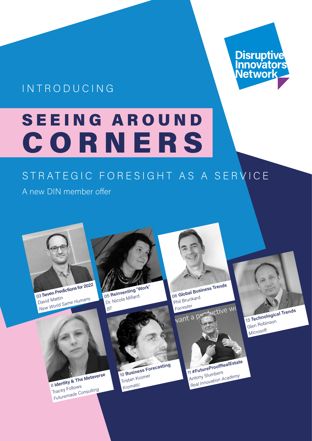# Disruptive<br>Innovators<br>Network

# INTRODUCING

# SEEING AROUND CORNERS

# STRATEGIC FORESIGHT AS A SERVICE

A new DIN member offer

<sup>03</sup> **Seven Predictions for 2022** David Mattin **David Mattin**<br>David Mattin<br>New World Same Humans<br>New World Same Humans<br>Dr. Nicola Millard

Dr. Nicola Millard

*BT*

8 **Identity & The Metaverse**  Tracey Follows *Futuremade Consulting*

10 **Business Forecasting** Tristan Kromer *Kromatic*

<sup>06</sup> **Global Business Trends** Phil Brunkard *Forrester* ctive wo



13 **Technological Trends**

Glen Robinson *Microsoft*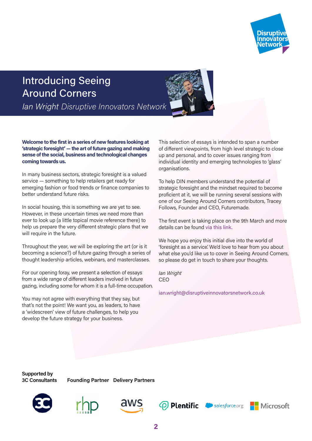

### Introducing Seeing Around Corners

*Ian Wright Disruptive Innovators Network*

#### **Welcome to the first in a series of new features looking at 'strategic foresight' — the art of future gazing and making sense of the social, business and technological changes coming towards us.**

In many business sectors, strategic foresight is a valued service — something to help retailers get ready for emerging fashion or food trends or finance companies to better understand future risks.

In social housing, this is something we are yet to see. However, in these uncertain times we need more than ever to look up (a little topical movie reference there) to help us prepare the very different strategic plans that we will require in the future.

Throughout the year, we will be exploring the art (or is it becoming a science?) of future gazing through a series of thought leadership articles, webinars, and masterclasses.

For our opening foray, we present a selection of essays from a wide range of different leaders involved in future gazing, including some for whom it is a full-time occupation.

You may not agree with everything that they say, but that's not the point! We want you, as leaders, to have a 'widescreen' view of future challenges, to help you develop the future strategy for your business.

This selection of essays is intended to span a number of different viewpoints, from high level strategic to close up and personal, and to cover issues ranging from individual identity and emerging technologies to 'glass' organisations.

To help DIN members understand the potential of strategic foresight and the mindset required to become proficient at it, we will be running several sessions with one of our Seeing Around Corners contributors, Tracey Follows, Founder and CEO, Futuremade.

The first event is taking place on the 9th March and more details can be found [via this link.](https://www.eventbrite.co.uk/e/think-like-a-futurist-an-introduction-to-strategic-foresight-tickets-256701349647 
)

We hope you enjoy this initial dive into the world of 'foresight as a service'. We'd love to hear from you about what else you'd like us to cover in Seeing Around Corners, so please do get in touch to share your thoughts.

*Ian Wright*  CEO

[ian.wright@disruptiveinnovatorsnetwork.co.uk](mailto:ian.wright%40disruptiveinnovatorsnetwork.co.uk?subject=)

**Supported by 3C Consultants**

**Founding Partner Delivery Partners**











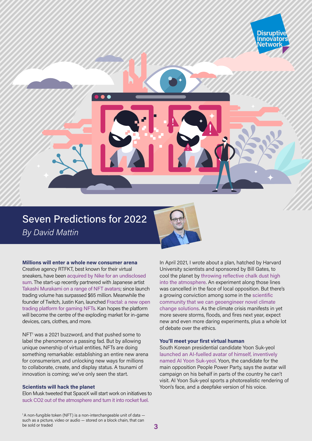

#### **Millions will enter a whole new consumer arena**

Creative agency RTFKT, best known for their virtual sneakers, have been [acquired by Nike for an undisclosed](https://consent.yahoo.com/v2/collectConsent?sessionId=3_cc-session_eeed760c-8437-45fe-88ce-bbb30d60dd75)  [sum](https://consent.yahoo.com/v2/collectConsent?sessionId=3_cc-session_eeed760c-8437-45fe-88ce-bbb30d60dd75). The start-up recently partnered with Japanese artist [Takashi Murakami on a range of NFT avatars](https://hypebeast.com/2021/11/rtfktstudios-clone-x-nft-sale-live-now-news); since launch trading volume has surpassed \$65 million. Meanwhile the founder of Twitch, Justin Kan, launched [Fractal: a new open](https://fractal.medium.com/introducing-fractal-98a8162a0a6f)  [trading platform for gaming NFTs](https://fractal.medium.com/introducing-fractal-98a8162a0a6f). Kan hopes the platform will become the centre of the exploding market for in-game devices, cars, clothes, and more.

NFT<sup>1</sup> was a 2021 buzzword, and that pushed some to label the phenomenon a passing fad. But by allowing unique ownership of virtual entities, NFTs are doing something remarkable: establishing an entire new arena for consumerism, and unlocking new ways for millions to collaborate, create, and display status. A tsunami of innovation is coming; we've only seen the start.

#### **Scientists will hack the planet**

Elon Musk tweeted that SpaceX will start work on initiatives to [suck CO2 out of the atmosphere and turn it into rocket fuel.](https://twitter.com/elonmusk/status/1470519292651352070)

In April 2021, I wrote about a plan, hatched by Harvard University scientists and sponsored by Bill Gates, to cool the planet by [throwing reflective chalk dust high](https://nwsh.substack.com/p/new-world-same-humans-60-801)  [into the atmosphere](https://nwsh.substack.com/p/new-world-same-humans-60-801). An experiment along those lines was cancelled in the face of local opposition. But there's a growing conviction among some in the [scientific](https://www.nationalacademies.org/news/2021/12/new-report-assesses-the-feasibility-cost-and-potential-impacts-of-ocean-based-carbon-dioxide-removal-approaches-recommends-u-s-research-program)  [community that we can geoengineer novel climate](https://www.nationalacademies.org/news/2021/12/new-report-assesses-the-feasibility-cost-and-potential-impacts-of-ocean-based-carbon-dioxide-removal-approaches-recommends-u-s-research-program)  [change solutions](https://www.nationalacademies.org/news/2021/12/new-report-assesses-the-feasibility-cost-and-potential-impacts-of-ocean-based-carbon-dioxide-removal-approaches-recommends-u-s-research-program). As the climate crisis manifests in yet more severe storms, floods, and fires next year, expect new and even more daring experiments, plus a whole lot of debate over the ethics.

**Disruptiv Innovators** Networl

#### **You'll meet your first virtual human**

South Korean presidential candidate Yoon Suk-yeol [launched an AI-fuelled avatar of himself, inventively](https://www.koreatimes.co.kr/www/nation/2021/12/356_320192.html)  [named AI Yoon Suk-yeol](https://www.koreatimes.co.kr/www/nation/2021/12/356_320192.html). Yoon, the candidate for the main opposition People Power Party, says the avatar will campaign on his behalf in parts of the country he can't visit. AI Yoon Suk-yeol sports a photorealistic rendering of Yoon's face, and a deepfake version of his voice.

<sup>1</sup>A non-fungible token (NFT) is a non-interchangeable unit of data such as a picture, video or audio — stored on a block chain, that can be sold or traded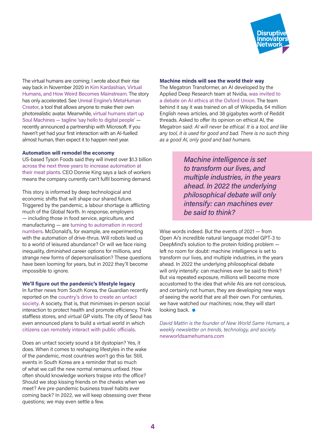

The virtual humans are coming; I wrote about their rise way back in November 2020 in [Kim Kardashian, Virtual](https://nwsh.substack.com/p/new-world-same-humans-41)  [Humans, and How Weird Becomes Mainstream](https://nwsh.substack.com/p/new-world-same-humans-41). The story has only accelerated. See [Unreal Engine's MetaHuman](https://www.unrealengine.com/en-US/digital-humans)  [Creator](https://www.unrealengine.com/en-US/digital-humans), a tool that allows anyone to make their own photorealistic avatar. Meanwhile, [virtual humans start up](https://www.soulmachines.com)  [Soul Machines — tagline 'say hello to digital people'](https://www.soulmachines.com) recently announced a partnership with Microsoft. If you haven't yet had your first interaction with an AI-fuelled almost human, then expect it to happen next year.

#### **Automation will remodel the economy**

US-based Tyson Foods said they will invest over \$1.3 billion [across the next three years to increase automation at](https://www.reuters.com/business/retail-consumer/tyson-foods-plans-spend-over-13-bln-automation-projects-2021-12-09/?utm_source=reddit.com)  [their meat plants](https://www.reuters.com/business/retail-consumer/tyson-foods-plans-spend-over-13-bln-automation-projects-2021-12-09/?utm_source=reddit.com). CEO Donnie King says a lack of workers means the company currently can't fulfil booming demand.

This story is informed by deep technological and economic shifts that will shape our shared future. Triggered by the pandemic, a labour shortage is afflicting much of the Global North. In response, employers — including those in food service, agriculture, and manufacturing — are [turning to automation in record](https://www.weforum.org/agenda/2021/12/robots-jobs-staff-shortage-automation/)  [numbers](https://www.weforum.org/agenda/2021/12/robots-jobs-staff-shortage-automation/). McDonald's, for example, are experimenting with the automation of drive-thrus. Will robots lead us to a world of leisured abundance? Or will we face rising inequality, diminished career options for millions, and strange new forms of depersonalisation? These questions have been looming for years, but in 2022 they'll become impossible to ignore.

#### **We'll figure out the pandemic's lifestyle legacy**

In further news from South Korea, the Guardian recently reported on the [country's drive to create an untact](https://www.theguardian.com/world/2021/dec/10/south-korea-cuts-human-interaction-in-push-to-build-untact-society)  [society](https://www.theguardian.com/world/2021/dec/10/south-korea-cuts-human-interaction-in-push-to-build-untact-society). A society, that is, that minimises in-person social interaction to protect health and promote efficiency. Think staffless stores, and virtual GP visits. The city of Seoul has even announced plans to build a virtual world in which [citizens can remotely interact with public officials](https://www.euronews.com/next/2021/11/10/seoul-to-become-the-first-city-to-enter-the-metaverse-what-will-it-look-like).

Does an untact society sound a bit dystopian? Yes, it does. When it comes to reshaping lifestyles in the wake of the pandemic, most countries won't go this far. Still, events in South Korea are a reminder that so much of what we call the new normal remains unfixed. How often should knowledge workers traipse into the office? Should we stop kissing friends on the cheeks when we meet? Are pre-pandemic business travel habits ever coming back? In 2022, we will keep obsessing over these questions; we may even settle a few.

#### **Machine minds will see the world their way**

The Megatron Transformer, an AI developed by the Applied Deep Research team at Nvidia, [was invited to](https://theconversation.com/we-invited-an-ai-to-debate-its-own-ethics-in-the-oxford-union-what-it-said-was-startling-173607)  [a debate on AI ethics at the Oxford Union](https://theconversation.com/we-invited-an-ai-to-debate-its-own-ethics-in-the-oxford-union-what-it-said-was-startling-173607). The team behind it say it was trained on all of Wikipedia, 64 million English news articles, and 38 gigabytes worth of Reddit threads. Asked to offer its opinion on ethical AI, the Megatron said: *AI will never be ethical. It is a tool, and like any tool, it is used for good and bad. There is no such thing as a good AI, only good and bad humans.*

> *Machine intelligence is set to transform our lives, and multiple industries, in the years ahead. In 2022 the underlying philosophical debate will only intensify: can machines ever be said to think?*

Wise words indeed. But the events of 2021 — from Open Ai's incredible natural language model GPT-3 to DeepMind's solution to the protein folding problem left no room for doubt: machine intelligence is set to transform our lives, and multiple industries, in the years ahead. In 2022 the underlying philosophical debate will only intensify: can machines ever be said to think? But via repeated exposure, millions will become more accustomed to the idea that while AIs are not conscious, and certainly not human, they are developing new ways of seeing the world that are all their own. For centuries, we have watched our machines; now, they will start looking back.

*David Mattin is the founder of New World Same Humans, a weekly newsletter on trends, technology, and society.* [newworldsamehumans.com](https://newworldsamehumans.com/)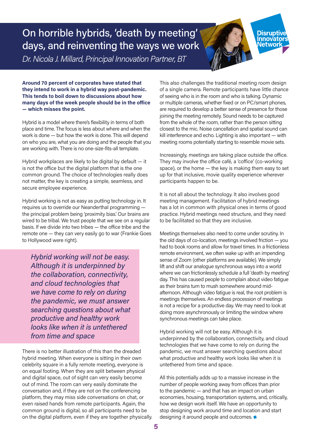On horrible hybrids, 'death by meeting' days, and reinventing the ways we work

*Dr. Nicola J. Millard, Principal Innovation Partner, BT*

**Around 70 percent of corporates have stated that they intend to work in a hybrid way post-pandemic. This tends to boil down to discussions about how many days of the week people should be in the office — which misses the point.**

Hybrid is a model where there's flexibility in terms of both place and time. The focus is less about where and when the work is done — but how the work is done. This will depend on who you are, what you are doing and the people that you are working with. There is no one-size-fits-all template.

Hybrid workplaces are likely to be digital by default — it is not the office but the digital platform that is the one common ground. The choice of technologies really does not matter, the key is creating a simple, seamless, and secure employee experience.

Hybrid working is not as easy as putting technology in. It requires us to override our Neanderthal programming the principal problem being 'proximity bias.' Our brains are wired to be tribal. We trust people that we see on a regular basis. If we divide into two tribes — the office tribe and the remote one — they can very easily go to war (Frankie Goes to Hollywood were right).

*Hybrid working will not be easy. Although it is underpinned by the collaboration, connectivity, and cloud technologies that we have come to rely on during the pandemic, we must answer searching questions about what productive and healthy work looks like when it is untethered from time and space*

There is no better illustration of this than the dreaded hybrid meeting. When everyone is sitting in their own celebrity square in a fully remote meeting, everyone is on equal footing. When they are split between physical and digital space, out of sight can very easily become out of mind. The room can very easily dominate the conversation and, if they are not on the conferencing platform, they may miss side conversations on chat, or even raised hands from remote participants. Again, the common ground is digital, so all participants need to be on the digital platform, even if they are together physically. This also challenges the traditional meeting room design of a single camera. Remote participants have little chance of seeing who is in the room and who is talking. Dynamic or multiple cameras, whether fixed or on PC/smart phones, are required to develop a better sense of presence for those joining the meeting remotely. Sound needs to be captured from the whole of the room, rather than the person sitting closest to the mic. Noise cancellation and spatial sound can kill interference and echo. Lighting is also important — with meeting rooms potentially starting to resemble movie sets.

**Disruptiv Innovators**<br>Network

Increasingly, meetings are taking place outside the office. They may involve the office café, a 'coffice' (co-working space), or the home — the key is making them easy to set up for that inclusive, movie quality experience wherever participants happen to be.

It is not all about the technology. It also involves good meeting management. Facilitation of hybrid meetings has a lot in common with physical ones in terms of good practice. Hybrid meetings need structure, and they need to be facilitated so that they are inclusive.

Meetings themselves also need to come under scrutiny. In the old days of co-location, meetings involved friction — you had to book rooms and allow for travel times. In a frictionless remote environment, we often wake up with an impending sense of Zoom (other platforms are available). We simply lift and shift our analogue synchronous ways into a world where we can frictionlessly schedule a full 'death by meeting' day. This has caused people to complain about video fatigue as their brains turn to mush somewhere around midafternoon. Although video fatigue is real, the root problem is meetings themselves. An endless procession of meetings is not a recipe for a productive day. We may need to look at doing more asynchronously or limiting the window where synchronous meetings can take place.

Hybrid working will not be easy. Although it is underpinned by the collaboration, connectivity, and cloud technologies that we have come to rely on during the pandemic, we must answer searching questions about what productive and healthy work looks like when it is untethered from time and space.

All this potentially adds up to a massive increase in the number of people working away from offices than prior to the pandemic — and that has an impact on urban economies, housing, transportation systems, and, critically, how we design work itself. We have an opportunity to stop designing work around time and location and start designing it around people and outcomes.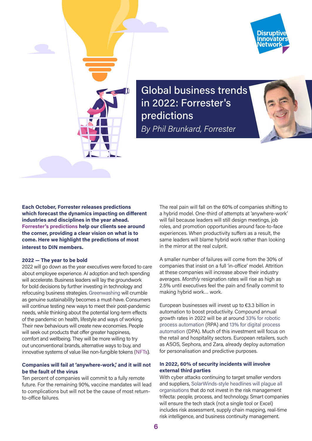



Global business trends in 2022: Forrester's predictions *By Phil Brunkard, Forrester*



**Each October, Forrester releases predictions which forecast the dynamics impacting on different industries and disciplines in the year ahead. [Forrester's predictions](https://www.forrester.com/predictions/?utm_source=pr_pitch&utm_medium=pr&utm_campaign=predictions_2022_eu) help our clients see around the corner, providing a clear vision on what is to come. Here we highlight the predictions of most interest to DIN members.**

#### **2022 — The year to be bold**

2022 will go down as the year executives were forced to care about employee experience. AI adoption and tech spending will accelerate. Business leaders will lay the groundwork for bold decisions by further investing in technology and refocusing business strategies. [Greenwashing](https://www.greenpeace.org.uk/news/golden-age-of-greenwash/) will crumble as genuine sustainability becomes a must-have. Consumers will continue testing new ways to meet their post-pandemic needs, while thinking about the potential long-term effects of the pandemic on health, lifestyle and ways of working. Their new behaviours will create new economies. People will seek out products that offer greater happiness, comfort and wellbeing. They will be more willing to try out unconventional brands, alternative ways to buy, and innovative systems of value like non-fungible tokens ([NFTs](https://www.forbes.com/uk/advisor/investing/nft-non-fungible-token/)).

#### **Companies will fail at 'anywhere-work,' and it will not be the fault of the virus**

Ten percent of companies will commit to a fully remote future. For the remaining 90%, vaccine mandates will lead to complications but will not be the cause of most returnto-office failures.

The real pain will fall on the 60% of companies shifting to a hybrid model. One-third of attempts at 'anywhere-work' will fail because leaders will still design meetings, job roles, and promotion opportunities around face-to-face experiences. When productivity suffers as a result, the same leaders will blame hybrid work rather than looking in the mirror at the real culprit.

A smaller number of failures will come from the 30% of companies that insist on a full 'in-office' model. Attrition at these companies will increase above their industry averages. *Monthly* resignation rates will rise as high as 2.5% until executives feel the pain and finally commit to making hybrid work… work.

European businesses will invest up to €3.3 billion in automation to boost productivity. Compound annual growth rates in 2022 will be at around [33% for robotic](https://www.grandviewresearch.com/industry-analysis/robotic-process-automation-rpa-market)  [process automation](https://www.grandviewresearch.com/industry-analysis/robotic-process-automation-rpa-market) (RPA) and [13% for digital process](https://cagrvalue.com/digital-process-automation-market-cagr-through-2023/)  [automation](https://cagrvalue.com/digital-process-automation-market-cagr-through-2023/) (DPA). Much of this investment will focus on the retail and hospitality sectors. European retailers, such as ASOS, Sephora, and Zara, already deploy automation for personalisation and predictive purposes.

#### **In 2022, 60% of security incidents will involve external third parties**

With cyber attacks continuing to target smaller vendors and suppliers, [SolarWinds-style headlines will plague all](https://www.forrester.com/report/predictions-2022-cybersecurity-risk-and-privacy/RES176406?utm_source=pr_pitch&utm_medium=pr&utm_campaign=predictions_2022_eu)  [organisations](https://www.forrester.com/report/predictions-2022-cybersecurity-risk-and-privacy/RES176406?utm_source=pr_pitch&utm_medium=pr&utm_campaign=predictions_2022_eu) that do not invest in the risk management trifecta: people, process, and technology. Smart companies will ensure the tech stack (not a single tool or Excel) includes risk assessment, supply chain mapping, real-time risk intelligence, and business continuity management.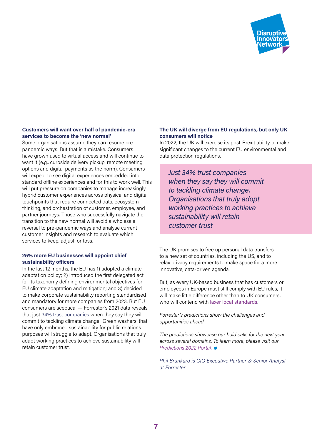

#### **Customers will want over half of pandemic-era services to become the 'new normal'**

Some organisations assume they can resume prepandemic ways. But that is a mistake. Consumers have grown used to virtual access and will continue to want it (e.g., curbside delivery pickup, remote meeting options and digital payments as the norm). Consumers will expect to see digital experiences embedded into standard offline experiences and for this to work well. This will put pressure on companies to manage increasingly hybrid customer experiences across physical and digital touchpoints that require connected data, ecosystem thinking, and orchestration of customer, employee, and partner journeys. Those who successfully navigate the transition to the new normal will avoid a wholesale reversal to pre-pandemic ways and analyse current customer insights and research to evaluate which services to keep, adjust, or toss.

#### **25% more EU businesses will appoint chief sustainability officers**

In the last 12 months, the EU has 1) adopted a climate adaptation policy; 2) introduced the first delegated act for its taxonomy defining environmental objectives for EU climate adaptation and mitigation; and 3) decided to make corporate sustainability reporting standardised and mandatory for more companies from 2023. But EU consumers are sceptical — Forrester's 2021 data reveals that just [34% trust companies](https://www.forrester.com/blogs/cx-predictions-2022-eu/?utm_source=pr_pitch&utm_medium=pr&utm_campaign=predictions_2022_eu) when they say they will commit to tackling climate change. 'Green washers' that have only embraced sustainability for public relations purposes will struggle to adapt. Organisations that truly adapt working practices to achieve sustainability will retain customer trust.

#### **The UK will diverge from EU regulations, but only UK consumers will notice**

In 2022, the UK will exercise its post-Brexit ability to make significant changes to the current EU environmental and data protection regulations.

*Just 34% trust companies when they say they will commit to tackling climate change. Organisations that truly adopt working practices to achieve sustainability will retain customer trust*

The UK promises to free up personal data transfers to a new set of countries, including the US, and to relax privacy requirements to make space for a more innovative, data-driven agenda.

But, as every UK-based business that has customers or employees in Europe must still comply with EU rules, it will make little difference other than to UK consumers, who will contend with [laxer local standards](https://www.forrester.com/predictions/europe/?utm_source=pr_pitch&utm_medium=pr&utm_campaign=predictions_2022_eu).

*Forrester's predictions show the challenges and opportunities ahead.* 

*The predictions showcase our bold calls for the next year across several domains. To learn more, please visit our Predictions 2022 Portal.*

*Phil Brunkard is CIO Executive Partner & Senior Analyst at Forrester*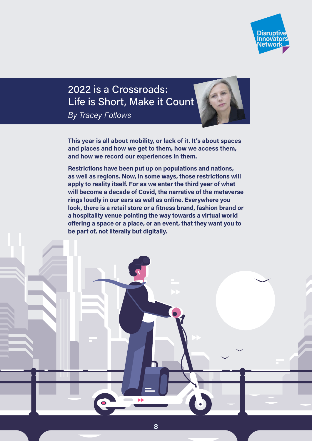

# 2022 is a Crossroads: Life is Short, Make it Count *By Tracey Follows*

**This year is all about mobility, or lack of it. It's about spaces and places and how we get to them, how we access them, and how we record our experiences in them.** 

**Restrictions have been put up on populations and nations, as well as regions. Now, in some ways, those restrictions will apply to reality itself. For as we enter the third year of what will become a decade of Covid, the narrative of the metaverse rings loudly in our ears as well as online. Everywhere you look, there is a retail store or a fitness brand, fashion brand or a hospitality venue pointing the way towards a virtual world offering a space or a place, or an event, that they want you to be part of, not literally but digitally.**

**8**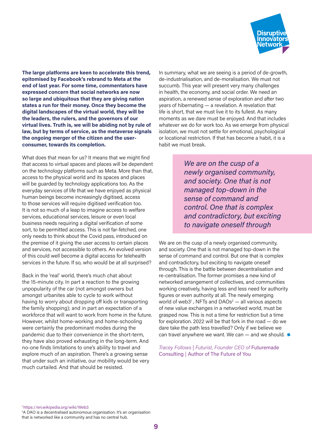

**The large platforms are keen to accelerate this trend, epitomised by Facebook's rebrand to Meta at the end of last year. For some time, commentators have expressed concern that social networks are now so large and ubiquitous that they are giving nation states a run for their money. Once they become the digital landscapes of the virtual world, they will be the leaders, the rulers, and the governors of our virtual lives. Truth is, we will be abiding not by rule of law, but by terms of service, as the metaverse signals the ongoing merger of the citizen and the userconsumer, towards its completion.** 

What does that mean for us? It means that we might find that access to virtual spaces and places will be dependent on the technology platforms such as Meta. More than that, access to the physical world and its spaces and places will be guarded by technology applications too. As the everyday services of life that we have enjoyed as physical human beings become increasingly digitised, access to those services will require digitised verification too. It is not so much of a leap to imagine access to welfare services, educational services, leisure or even local business needs requiring a digital verification of some sort, to be permitted access. This is not far-fetched, one only needs to think about the Covid pass, introduced on the premise of it giving the user access to certain places and services, not accessible to others. An evolved version of this could well become a digital access for telehealth services in the future. If so, who would be at all surprised?

Back in the 'real' world, there's much chat about the 15-minute city. In part a reaction to the growing unpopularity of the car (not amongst owners but amongst urbanites able to cycle to work without having to worry about dropping off kids or transporting the family shopping); and in part an expectation of a workforce that will want to work from home in the future. However, whilst home-working and home-schooling were certainly the predominant modes during the pandemic due to their convenience in the short-term, they have also proved exhausting in the long-term. And no-one finds limitations to one's ability to travel and explore much of an aspiration. There's a growing sense that under such an initiative, our mobility would be very much curtailed. And that should be resisted.

In summary, what we are seeing is a period of de-growth, de-industrialisation, and de-moralisation. We must not succumb. This year will present very many challenges in health, the economy, and social order. We need an aspiration, a renewed sense of exploration and after two years of hibernating — a revelation. A revelation that life is short, that we must live it to its fullest. As many moments as we dare must be enjoyed. And that includes whatever we do for work too. As we emerge from physical isolation, we must not settle for emotional, psychological or locational restriction. If that has become a habit, it is a habit we must break.

> *We are on the cusp of a newly organised community, and society. One that is not managed top-down in the sense of command and control. One that is complex and contradictory, but exciting to navigate oneself through*

We are on the cusp of a newly organised community, and society. One that is not managed top-down in the sense of command and control. But one that is complex and contradictory, but exciting to navigate oneself through. This is the battle between decentralisation and re-centralisation. The former promises a new kind of networked arrangement of collectives, and communities working creatively, having less and less need for authority figures or even authority at all. The newly emerging world of web3<sup>1</sup>, NFTs and DAOs<sup>2</sup>  $-$  all various aspects of new value exchanges in a networked world, must be grasped now. This is not a time for restriction but a time for exploration. 2022 will be that fork in the road — do we dare take the path less travelled? Only if we believe we can travel anywhere we want. We can – and we should.

*Tracey Follows | Futurist, Founder CEO of* [Futuremade](https://futuremade.consulting/futurenews-1)  [Consulting](https://futuremade.consulting/futurenews-1) *|* [Author of The Future of You](https://www.traceyfollows.com)

<sup>1</sup><https://en.wikipedia.org/wiki/Web3>

2 A DAO is a decentralised autonomous organisation. It's an organisation that is networked like a community and has no central hub.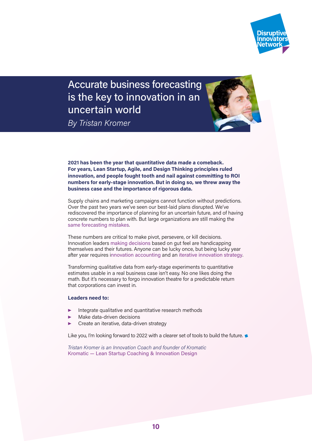

Accurate business forecasting is the key to innovation in an uncertain world *By Tristan Kromer*



**2021 has been the year that quantitative data made a comeback. For years, Lean Startup, Agile, and Design Thinking principles ruled innovation, and people fought tooth and nail against committing to ROI numbers for early-stage innovation. But in doing so, we threw away the business case and the importance of rigorous data.**

Supply chains and marketing campaigns cannot function without predictions. Over the past two years we've seen our best-laid plans disrupted. We've rediscovered the importance of planning for an uncertain future, and of having concrete numbers to plan with. But large organizations are still making the [same forecasting mistakes](https://kromatic.com/blog/the-most-common-error-in-business-forecasting/).

These numbers are critical to make pivot, persevere, or kill decisions. Innovation leaders [making decisions](https://kromatic.com/blog/advice-to-innovation-boards-make-frequent-fast-decisions/) based on gut feel are handicapping themselves and their futures. Anyone can be lucky once, but being lucky year after year requires i[nnovation accounting](https://kromatic.com/programs/innovation-accounting) and an [iterative innovation strategy](https://kromatic.com/blog/innovation-strategy-where-to-explore-when-to-launch-and-how-to-hack/).

Transforming qualitative data from early-stage experiments to quantitative estimates usable in a real business case isn't easy. No one likes doing the math. But it's necessary to forgo innovation theatre for a predictable return that corporations can invest in.

#### **Leaders need to:**

- Integrate qualitative and quantitative research methods
- Make data-driven decisions
- Create an iterative, data-driven strategy

Like you, I'm looking forward to 2022 with a clearer set of tools to build the future.

*Tristan Kromer is an Innovation Coach and founder of Kromatic* [Kromatic — Lean Startup Coaching & Innovation Design](https://kromatic.com)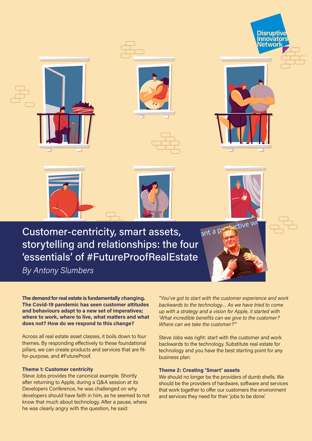

*By Antony Slumbers*

**The demand for real estate is fundamentally changing. The Covid-19 pandemic has seen customer attitudes and behaviours adapt to a new set of imperatives; where to work, where to live, what matters and what does not? How do we respond to this change?** 

Across all real estate asset classes, it boils down to four themes. By responding effectively to these foundational pillars, we can create products and services that are fitfor-purpose, and #FutureProof.

#### **Theme 1: Customer centricity**

Steve Jobs provides the canonical example. Shortly after returning to Apple, during a Q&A session at its Developers Conference, he was challenged on why developers should have faith in him, as he seemed to not know that much about technology. After a pause, where he was clearly angry with the question, he said:

*"You've got to start with the customer experience and work backwards to the technology… As we have tried to come up with a strategy and a vision for Apple, it started with 'What incredible benefits can we give to the customer? Where can we take the customer?'"* 

Steve Jobs was right: start with the customer and work backwards to the technology. Substitute real estate for technology and you have the best starting point for any business plan.

#### **Theme 2: Creating 'Smart' assets**

We should no longer be the providers of dumb shells. We should be the providers of hardware, software and services that work together to offer our customers the environment and services they need for their 'jobs to be done.'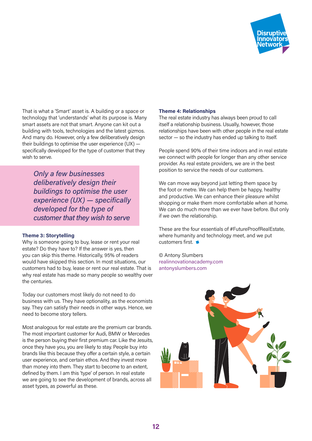

That is what a 'Smart' asset is. A building or a space or technology that 'understands' what its purpose is. Many smart assets are not that smart. Anyone can kit out a building with tools, technologies and the latest gizmos. And many do. However, only a few deliberatively design their buildings to optimise the user experience (UX) specifically developed for the type of customer that they wish to serve.

*Only a few businesses deliberatively design their buildings to optimise the user experience (UX) — specifically developed for the type of customer that they wish to serve*

#### **Theme 3: Storytelling**

Why is someone going to buy, lease or rent your real estate? Do they have to? If the answer is yes, then you can skip this theme. Historically, 95% of readers would have skipped this section. In most situations, our customers had to buy, lease or rent our real estate. That is why real estate has made so many people so wealthy over the centuries.

Today our customers most likely do not need to do business with us. They have optionality, as the economists say. They can satisfy their needs in other ways. Hence, we need to become story tellers.

Most analogous for real estate are the premium car brands. The most important customer for Audi, BMW or Mercedes is the person buying their first premium car. Like the Jesuits, once they have you, you are likely to stay. People buy into brands like this because they offer a certain style, a certain user experience, and certain ethos. And they invest more than money into them. They start to become to an extent, defined by them. I am this 'type' of person. In real estate we are going to see the development of brands, across all asset types, as powerful as these.

#### **Theme 4: Relationships**

The real estate industry has always been proud to call itself a relationship business. Usually, however, those relationships have been with other people in the real estate sector — so the industry has ended up talking to itself.

People spend 90% of their time indoors and in real estate we connect with people for longer than any other service provider. As real estate providers, we are in the best position to service the needs of our customers.

We can move way beyond just letting them space by the foot or metre. We can help them be happy, healthy and productive. We can enhance their pleasure whilst shopping or make them more comfortable when at home. We can do much more than we ever have before. But only if we own the relationship.

These are the four essentials of #FutureProofRealEstate, where humanity and technology meet, and we put customers first.

© Antony Slumbers [realinnovationacademy.com](https://www.realinnovationacademy.com) [antonyslumbers.com](https://www.antonyslumbers.com)